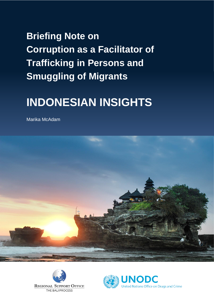# **Briefing Note on Corruption as a Facilitator of Trafficking in Persons and Smuggling of Migrants**

# **INDONESIAN INSIGHTS**

Marika McAdam





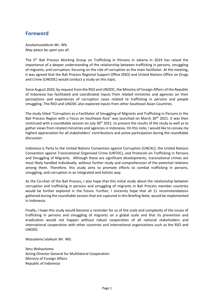## **Foreword**

Assalamualaikum Wr. Wb. May peace be upon you all.

The 5th Bali Process Working Group on Trafficking in Persons in Jakarta in 2019 has raised the importance of a deeper understanding of the relationship between trafficking in persons, smuggling of migrants, and corruption, focusing on the role of corruption as the main facilitator. At the meeting, it was agreed that the Bali Process Regional Support Office (RSO) and United Nations Office on Drugs and Crime (UNODC) would conduct a study on this topic.

Since August 2020, by request from the RSO and UNODC, the Ministry of Foreign Affairs of the Republic of Indonesia has facilitated and coordinated inputs from related ministries and agencies on their perceptions and experiences of corruption cases related to trafficking in persons and people smuggling. The RSO and UNODC also explored inputs from other Southeast Asian Countries.

The study titled "Corruption as a Facilitator of Smuggling of Migrants and Trafficking in Persons in the Bali Process Region with a Focus on Southeast Asia" was launched on March 30<sup>th</sup> 2021. It was then continued with a roundtable session on July 30<sup>th</sup> 2021, to present the results of the study as well as to gather views from related ministries and agencies in Indonesia. On this note, I would like to convey my highest appreciation for all stakeholders' contributions and active participation during the roundtable discussion.

Indonesia is Party to the United Nations Convention against Corruption (UNCAC), the United Nations Convention against Transnational Organized Crime (UNTOC), and Protocols on Trafficking in Persons and Smuggling of Migrants. Although these are significant developments, transnational crimes are most likely handled individually, without further study and comprehension of the potential relations among them. Therefore, this study aims to promote efforts to combat trafficking in persons, smuggling, and corruption in an integrated and holistic way.

As the Co-chair of the Bali Process, I also hope that this initial study about the relationship between corruption and trafficking in persons and smuggling of migrants in Bali Process member countries would be further explored in the future. Further, I sincerely hope that all 11 recommendations gathered during the roundtable session that are captured in this Briefing Note, would be implemented in Indonesia.

Finally, I hope this study would become a reminder for us of the scale and complexity of the issues of trafficking in persons and smuggling of migrants on a global scale and that its prevention and eradication would not happen without robust cooperation of all national stakeholders and international cooperation with other countries and international organizations such as the RSO and UNODC.

Wassalamu'alaikum Wr. Wb.

Ibnu Wahyutomo Acting Director General for Multilateral Cooperation Ministry of Foreign Affairs Republic of Indonesia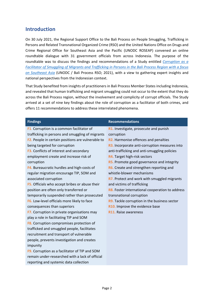## **Introduction**

On 30 July 2021, the Regional Support Office to the Bali Process on People Smuggling, Trafficking in Persons and Related Transnational Organized Crime (RSO) and the United Nations Office on Drugs and Crime Regional Office for Southeast Asia and the Pacific (UNODC ROSEAP) convened an online roundtable dialogue with 31 government officials from across Indonesia. The purpose of the roundtable was to discuss the findings and recommendations of a Study entitled *[Corruption as a](https://www.baliprocess.net/regional-support-office/corruption-as-a-facilitator-of-smuggling-of-migrants-and-trafficking-in-persons/)  [Facilitator of Smuggling of Migrants and Trafficking in Persons in the Bali Process Region with a focus](https://www.baliprocess.net/regional-support-office/corruption-as-a-facilitator-of-smuggling-of-migrants-and-trafficking-in-persons/)  [on Southeast Asia](https://www.baliprocess.net/regional-support-office/corruption-as-a-facilitator-of-smuggling-of-migrants-and-trafficking-in-persons/)* (UNODC / Bali Process RSO; 2021), with a view to gathering expert insights and national perspectives from the Indonesian context.

That Study benefited from insights of practitioners in Bali Process Member States including Indonesia, and revealed that human trafficking and migrant smuggling could not occur to the extent that they do across the Bali Process region, without the involvement and complicity of corrupt officials. The Study arrived at a set of nine key findings about the role of corruption as a facilitator of both crimes, and offers 11 recommendations to address these interrelated phenomena.

| <b>Findings</b>                                   | <b>Recommendations</b>                          |
|---------------------------------------------------|-------------------------------------------------|
| F1. Corruption is a common facilitator of         | R1. Investigate, prosecute and punish           |
| trafficking in persons and smuggling of migrants  | corruption                                      |
| F2. People in certain positions are vulnerable to | R2. Harmonise offences and penalties            |
| being targeted for corruption                     | R3. Incorporate anti-corruption measures into   |
| F3. Conflicts of interest and secondary           | anti-trafficking and anti-smuggling policies    |
| employment create and increase risk of            | R4. Target high-risk sectors                    |
| corruption                                        | R5. Promote good governance and integrity       |
| F4. Bureaucratic hurdles and high-costs of        | R6. Create and strengthen reporting and         |
| regular migration encourage TIP, SOM and          | whistle-blower mechanisms                       |
| associated corruption                             | R7. Protect and work with smuggled migrants     |
| F5. Officials who accept bribes or abuse their    | and victims of trafficking                      |
| position are often only transferred or            | R8. Foster international cooperation to address |
| temporarily suspended rather than prosecuted      | transnational corruption                        |
| F6. Low-level officials more likely to face       | R9. Tackle corruption in the business sector    |
| consequences than superiors                       | R10. Improve the evidence base                  |
| F7. Corruption in private organisations may       | <b>R11.</b> Raise awareness                     |
| play a role in facilitating TIP and SOM           |                                                 |
| F8. Corruption compromises protection of          |                                                 |
| trafficked and smuggled people, facilitates       |                                                 |
| recruitment and transport of vulnerable           |                                                 |
| people, prevents investigation and creates        |                                                 |
| impunity                                          |                                                 |
| F9. Corruption as a facilitator of TIP and SOM    |                                                 |
| remain under-researched with a lack of official   |                                                 |
| reporting and systemic data collection            |                                                 |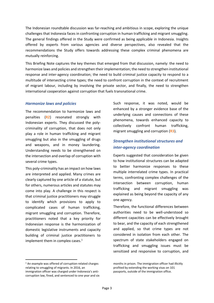The Indonesian roundtable discussion was far-reaching and ambitious in scope, exploring the unique challenges that Indonesia faces in confronting corruption in human trafficking and migrant smuggling. The general findings offered in the Study were confirmed as being applicable in Indonesia. Insights offered by experts from various agencies and diverse perspectives, also revealed that the recommendations the Study offers towards addressing these complex criminal phenomena are mutually reinforcing.

This Briefing Note captures the key themes that emerged from that discussion, namely: the need to harmonize laws and policies and strengthen their implementation; the need to strengthen institutional response and inter-agency coordination; the need to build criminal justice capacity to respond to a multitude of intersecting crime types; the need to confront corruption in the context of recruitment of migrant labour, including by involving the private sector, and finally, the need to strengthen international cooperation against corruption that fuels transnational crime.

#### *Harmonize laws and policies*

The recommendation to harmonize laws and penalties (**R2**) resonated strongly with Indonesian experts. They discussed the polycriminality of corruption, that does not only play a role in human trafficking and migrant smuggling but also in the smuggling of drugs and weapons, and in money laundering. Understanding needs to be strengthened on the intersection and overlap of corruption with several crime types.

This poly-criminality has an impact on how laws are interpreted and applied. Many crimes are clearly captured by one article of a statute, but for others, numerous articles and statutes may come into play. A challenge in this respect is that criminal justice practitioners may struggle to identify which provisions to apply to complicated cases of human trafficking, migrant smuggling and corruption. Therefore, practitioners noted that a key priority for Indonesian response is the harmonization of domestic legislative instruments and capacity building of criminal justice practitioners to implement them in complex cases. $1$ 

Such response, it was noted, would be enhanced by a stronger evidence base of the underlying causes and connections of these phenomena, towards enhanced capacity to collectively confront human trafficking, migrant smuggling and corruption (**R3**).

### *Strengthen institutional structures and inter-agency coordination*

Experts suggested that consideration be given to how institutional structures can be adapted to better harmonize responses to these multiple interrelated crime types. In practical terms, confronting complex challenges of the intersection between corruption, human trafficking and migrant smuggling was explained as being beyond the capacity of any one agency.

Therefore, the functional differences between authorities need to be well-understood so different capacities can be effectively brought to bear, and the capacity of each strengthened and applied, so that crime types are not considered in isolation from each other. The spectrum of state stakeholders engaged on trafficking and smuggling issues must be sensitized and responsive to corruption, and

<sup>&</sup>lt;sup>1</sup> An example was offered of corruption-related charges relating to smuggling of migrants. In 2016, an immigration officer was charged under Indonesia's anticorruption law, fined, and sentenced to one year and six

months in prison. The immigration officer had illicitly profited by extending the working visas on 101 passports, outside of the immigration office.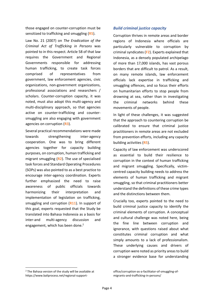those engaged on counter-corruption must be sensitized to trafficking and smuggling (**R5**).

Law No. 21 (2007) on *The Eradication of the Criminal Act of Trafficking in Persons* was pointed to in this respect. Article 58 of that law requires the Government and Regional Governments responsible for addressing human trafficking, to create task forces comprised of representatives from government, law enforcement agencies, civic organizations, non-government organizations, professional associations and researchers / scholars. Counter-corruption capacity, it was noted, must also adopt this multi-agency and multi-disciplinary approach, so that agencies active on counter-trafficking and countersmuggling are also engaging with government agencies on corruption (**R3**).

Several practical recommendations were made towards strengthening inter-agency cooperation. One was to bring different agencies together for capacity building purposes, on corruption, human trafficking and migrant smuggling (**R2**). The use of specialised task forces and Standard Operating Procedures (SOPs) was also pointed to as a best practice to encourage inter-agency coordination. Experts further emphasized the need to raise awareness of public officials towards harmonizing their interpretation and implementation of legislation on trafficking, smuggling and corruption (**R11**). In support of this goal, experts requested that the Study be translated into Bahasa Indonesia as a basis for inter-and multi-agency discussion and engagement, which has been done.<sup>2</sup>

#### *Build criminal justice capacity*

Corruption thrives in remote areas and border regions of Indonesia where officials are particularly vulnerable to corruption by criminal syndicates (**F2**). Experts explained that Indonesia, as a densely populated archipelago of more than 17,000 islands, has vast porous borders that are difficult to patrol. As a result, on many remote islands, law enforcement officials lack expertise in trafficking and smuggling offences, and so focus their efforts on humanitarian efforts to stop people from drowning at sea, rather than in investigating the criminal networks behind these movements of people.

In light of these challenges, it was suggested that the approach to countering corruption be calibrated to ensure that criminal justice practitioners in remote areas are not excluded from prevention efforts, including any capacity building activities (**R5**).

Capacity of law enforcement was underscored as essential to build their resilience to corruption in the context of human trafficking and migrant smuggling. Specifically, victimcentred capacity building needs to address the elements of human trafficking and migrant smuggling, so that criminal practitioners better understand the definitions of these crime types and the distinctions between them.

Crucially too, experts pointed to the need to build criminal justice capacity to identify the criminal elements of corruption. A conceptual and cultural challenge was noted here, being the fine line between corruption and ignorance, with questions raised about what constitutes criminal corruption and what simply amounts to a lack of professionalism. These underlying causes and drivers of corruption were noted as priority areas to build a stronger evidence base for understanding

<sup>2</sup> The Bahasa version of the study will be available at https://www.baliprocess.net/regional-support-

office/corruption-as-a-facilitator-of-smuggling-ofmigrants-and-trafficking-in-persons/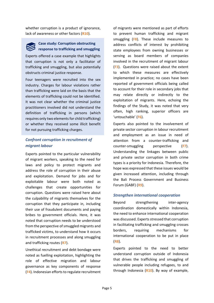whether corruption is a product of ignorance, lack of awareness or other factors (**R10**).



### **Case study: Corruption obstructing response to trafficking and smuggling**

Experts offered a case example that highlights that corruption is not only a facilitator of trafficking and smuggling, but also potentially obstructs criminal justice response.

Four teenagers were recruited into the sex industry. Charges for labour violations rather than trafficking were laid on the basis that the elements of trafficking could not be identified. It was not clear whether the criminal justice practitioners involved did not understand the definition of trafficking in persons (which requires only two elements for child trafficking) or whether they received some illicit benefit for not pursuing trafficking charges.

## *Confront corruption in recruitment of migrant labour*

Experts pointed to the particular vulnerability of migrant workers, speaking to the need for laws and policy to protect migrants and address the role of corruption in their abuse and exploitation. Demand for jobs and for exploitable labour were both noted as challenges that create opportunities for corruption. Questions were raised here about the culpability of migrants themselves for the corruption that they participate in, including their use of fraudulent documents and paying bribes to government officials. Here, it was noted that corruption needs to be understood from the perspective of smuggled migrants and trafficked victims, to understand how it occurs in recruitment processes and along smuggling and trafficking routes (**R7**).

Unethical recruitment and debt bondage were noted as fuelling exploitation, highlighting the role of effective migration and labour governance as key components of response (**F4**). Indonesian efforts to regulate recruitment

of migrants were mentioned as part of efforts to prevent human trafficking and migrant smuggling (**F8**). These include measures to address conflicts of interest by prohibiting state employees from owning businesses or serving as board members of companies involved in the recruitment of migrant labour (**F3**). Questions were raised about the extent to which these measures are effectively implemented in practice; no cases have been reported of government officials being called to account for their role in secondary jobs that may relate directly or indirectly to the exploitation of migrants. Here, echoing the findings of the Study, it was noted that very often, high ranking, superior officers are 'untouchable' (**F6**).

Experts also pointed to the involvement of private sector corruption in labour recruitment and employment as an issue in need of attention from a counter-trafficking and counter-smuggling perspective (**F7**). Understanding the linkages between public and private sector corruption in both crime types is a priority for Indonesia. Therefore, the hope was expressed that these issues would be given increased attention, including through the Bali Process Government and Business Forum (GABF) (**R9**).

#### *Strengthen international cooperation*

Beyond strengthening inter-agency coordination domestically within Indonesia, the need to enhance international cooperation was discussed. Experts stressed that corruption in facilitating trafficking and smuggling crosses borders, requiring mechanisms for international cooperation to be put in place (**R8**).

Experts pointed to the need to better understand corruption outside of Indonesia that drives the trafficking and smuggling of vulnerable people including refugees, to and through Indonesia (**R10**). By way of example,